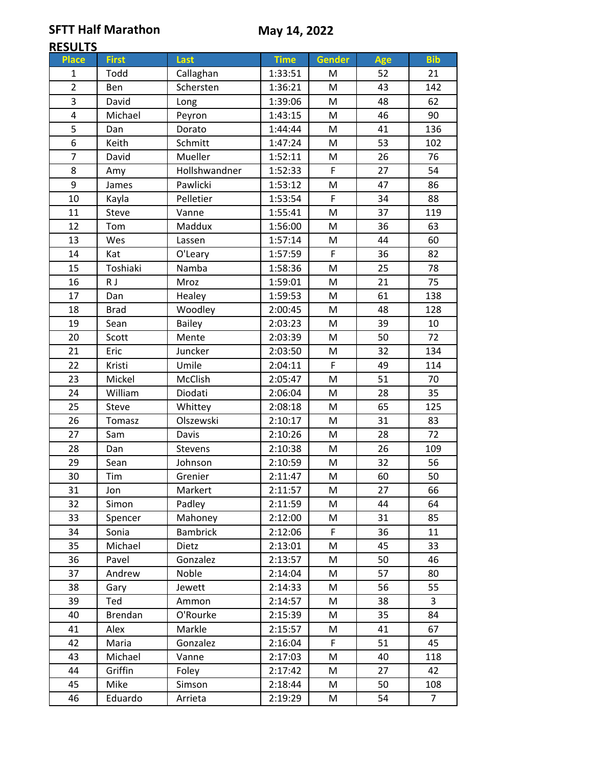**SFTT Half Marathon**

## **RESULTS**

| <u>ILJULIJ</u> |              |                 |             |        |     |                |
|----------------|--------------|-----------------|-------------|--------|-----|----------------|
| <b>Place</b>   | <b>First</b> | Last            | <b>Time</b> | Gender | Age | <b>Bib</b>     |
| 1              | Todd         | Callaghan       | 1:33:51     | M      | 52  | 21             |
| $\overline{2}$ | Ben          | Schersten       | 1:36:21     | M      | 43  | 142            |
| 3              | David        | Long            | 1:39:06     | M      | 48  | 62             |
| 4              | Michael      | Peyron          | 1:43:15     | M      | 46  | 90             |
| 5              | Dan          | Dorato          | 1:44:44     | M      | 41  | 136            |
| 6              | Keith        | Schmitt         | 1:47:24     | M      | 53  | 102            |
| $\overline{7}$ | David        | Mueller         | 1:52:11     | M      | 26  | 76             |
| 8              | Amy          | Hollshwandner   | 1:52:33     | F      | 27  | 54             |
| 9              | James        | Pawlicki        | 1:53:12     | M      | 47  | 86             |
| 10             | Kayla        | Pelletier       | 1:53:54     | F      | 34  | 88             |
| 11             | Steve        | Vanne           | 1:55:41     | M      | 37  | 119            |
| 12             | Tom          | Maddux          | 1:56:00     | M      | 36  | 63             |
| 13             | Wes          | Lassen          | 1:57:14     | M      | 44  | 60             |
| 14             | Kat          | O'Leary         | 1:57:59     | F      | 36  | 82             |
| 15             | Toshiaki     | Namba           | 1:58:36     | M      | 25  | 78             |
| 16             | R J          | Mroz            | 1:59:01     | M      | 21  | 75             |
| 17             | Dan          | Healey          | 1:59:53     | M      | 61  | 138            |
| 18             | <b>Brad</b>  | Woodley         | 2:00:45     | M      | 48  | 128            |
| 19             | Sean         | <b>Bailey</b>   | 2:03:23     | M      | 39  | 10             |
| 20             | Scott        | Mente           | 2:03:39     | M      | 50  | 72             |
| 21             | Eric         | Juncker         | 2:03:50     | M      | 32  | 134            |
| 22             | Kristi       | Umile           | 2:04:11     | F      | 49  | 114            |
| 23             | Mickel       | McClish         | 2:05:47     | M      | 51  | 70             |
| 24             | William      | Diodati         | 2:06:04     | M      | 28  | 35             |
| 25             | Steve        | Whittey         | 2:08:18     | M      | 65  | 125            |
| 26             | Tomasz       | Olszewski       | 2:10:17     | M      | 31  | 83             |
| 27             | Sam          | Davis           | 2:10:26     | M      | 28  | 72             |
| 28             | Dan          | Stevens         | 2:10:38     | M      | 26  | 109            |
| 29             | Sean         | Johnson         | 2:10:59     | M      | 32  | 56             |
| 30             | Tim          | Grenier         | 2:11:47     | M      | 60  | 50             |
| 31             | Jon          | Markert         | 2:11:57     | M      | 27  | 66             |
| 32             | Simon        | Padley          | 2:11:59     | M      | 44  | 64             |
| 33             | Spencer      | Mahoney         | 2:12:00     | M      | 31  | 85             |
| 34             | Sonia        | <b>Bambrick</b> | 2:12:06     | F      | 36  | 11             |
| 35             | Michael      | Dietz           | 2:13:01     | M      | 45  | 33             |
| 36             | Pavel        | Gonzalez        | 2:13:57     | M      | 50  | 46             |
| 37             | Andrew       | Noble           | 2:14:04     | М      | 57  | 80             |
| 38             | Gary         | Jewett          | 2:14:33     | M      | 56  | 55             |
| 39             | Ted          | Ammon           | 2:14:57     | M      | 38  | 3              |
| 40             | Brendan      | O'Rourke        | 2:15:39     | M      | 35  | 84             |
| 41             | Alex         | Markle          | 2:15:57     | M      | 41  | 67             |
| 42             | Maria        | Gonzalez        | 2:16:04     | F.     | 51  | 45             |
| 43             | Michael      | Vanne           | 2:17:03     | M      | 40  | 118            |
| 44             | Griffin      | Foley           | 2:17:42     | M      | 27  | 42             |
| 45             | Mike         | Simson          | 2:18:44     | М      | 50  | 108            |
| 46             | Eduardo      | Arrieta         | 2:19:29     | M      | 54  | $\overline{7}$ |
|                |              |                 |             |        |     |                |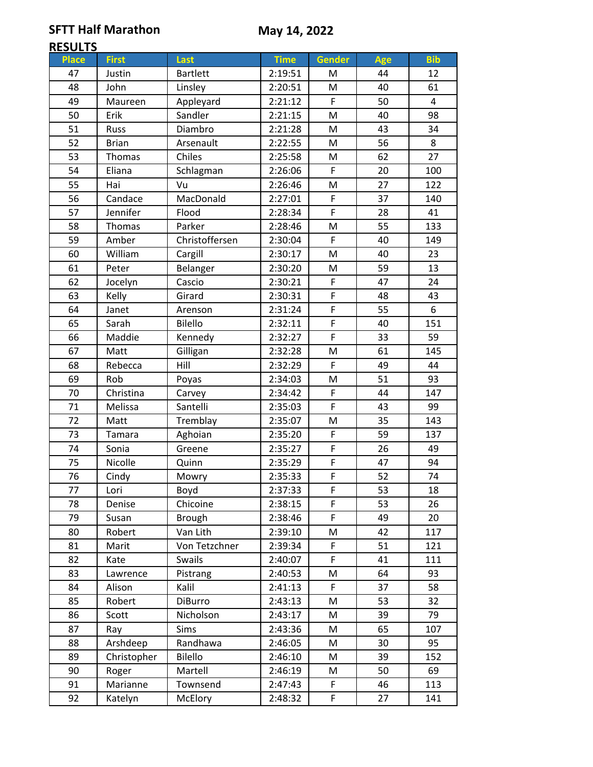**SFTT Half Marathon**

## **RESULTS**

| <b>ULSALIS</b> |              |                 |             |                |            |                |
|----------------|--------------|-----------------|-------------|----------------|------------|----------------|
| <b>Place</b>   | <b>First</b> | Last            | <b>Time</b> | Gender         | <b>Age</b> | <b>Bib</b>     |
| 47             | Justin       | <b>Bartlett</b> | 2:19:51     | м              | 44         | 12             |
| 48             | John         | Linsley         | 2:20:51     | M              | 40         | 61             |
| 49             | Maureen      | Appleyard       | 2:21:12     | F              | 50         | $\overline{4}$ |
| 50             | Erik         | Sandler         | 2:21:15     | M              | 40         | 98             |
| 51             | Russ         | Diambro         | 2:21:28     | M              | 43         | 34             |
| 52             | <b>Brian</b> | Arsenault       | 2:22:55     | M              | 56         | 8              |
| 53             | Thomas       | Chiles          | 2:25:58     | M              | 62         | 27             |
| 54             | Eliana       | Schlagman       | 2:26:06     | F              | 20         | 100            |
| 55             | Hai          | Vu              | 2:26:46     | M              | 27         | 122            |
| 56             | Candace      | MacDonald       | 2:27:01     | F              | 37         | 140            |
| 57             | Jennifer     | Flood           | 2:28:34     | F              | 28         | 41             |
| 58             | Thomas       | Parker          | 2:28:46     | M              | 55         | 133            |
| 59             | Amber        | Christoffersen  | 2:30:04     | F              | 40         | 149            |
| 60             | William      | Cargill         | 2:30:17     | M              | 40         | 23             |
| 61             | Peter        | Belanger        | 2:30:20     | M              | 59         | 13             |
| 62             | Jocelyn      | Cascio          | 2:30:21     | F              | 47         | 24             |
| 63             | Kelly        | Girard          | 2:30:31     | F              | 48         | 43             |
| 64             | Janet        | Arenson         | 2:31:24     | F              | 55         | 6              |
| 65             | Sarah        | Bilello         | 2:32:11     | F              | 40         | 151            |
| 66             | Maddie       | Kennedy         | 2:32:27     | F              | 33         | 59             |
| 67             | Matt         | Gilligan        | 2:32:28     | M              | 61         | 145            |
| 68             | Rebecca      | Hill            | 2:32:29     | F              | 49         | 44             |
| 69             | Rob          | Poyas           | 2:34:03     | ${\sf M}$      | 51         | 93             |
| 70             | Christina    | Carvey          | 2:34:42     | F              | 44         | 147            |
| 71             | Melissa      | Santelli        | 2:35:03     | F              | 43         | 99             |
| 72             | Matt         | Tremblay        | 2:35:07     | M              | 35         | 143            |
| 73             | Tamara       | Aghoian         | 2:35:20     | F              | 59         | 137            |
| 74             | Sonia        | Greene          | 2:35:27     | F              | 26         | 49             |
| 75             | Nicolle      | Quinn           | 2:35:29     | F              | 47         | 94             |
| 76             | Cindy        | Mowry           | 2:35:33     | $\overline{F}$ | 52         | 74             |
| 77             | Lori         | Boyd            | 2:37:33     | F              | 53         | 18             |
| 78             | Denise       | Chicoine        | 2:38:15     | F              | 53         | 26             |
| 79             | Susan        | <b>Brough</b>   | 2:38:46     | F              | 49         | 20             |
| 80             | Robert       | Van Lith        | 2:39:10     | M              | 42         | 117            |
| 81             | Marit        | Von Tetzchner   | 2:39:34     | F              | 51         | 121            |
| 82             | Kate         | Swails          | 2:40:07     | F              | 41         | 111            |
| 83             | Lawrence     | Pistrang        | 2:40:53     | M              | 64         | 93             |
| 84             | Alison       | Kalil           | 2:41:13     | F              | 37         | 58             |
| 85             | Robert       | <b>DiBurro</b>  | 2:43:13     | M              | 53         | 32             |
| 86             | Scott        | Nicholson       | 2:43:17     | M              | 39         | 79             |
| 87             | Ray          | Sims            | 2:43:36     | M              | 65         | 107            |
| 88             | Arshdeep     | Randhawa        | 2:46:05     | М              | 30         | 95             |
| 89             | Christopher  | Bilello         | 2:46:10     | M              | 39         | 152            |
| 90             | Roger        | Martell         | 2:46:19     | M              | 50         | 69             |
| 91             | Marianne     | Townsend        | 2:47:43     | F              | 46         | 113            |
| 92             | Katelyn      | McElory         | 2:48:32     | F              | 27         | 141            |